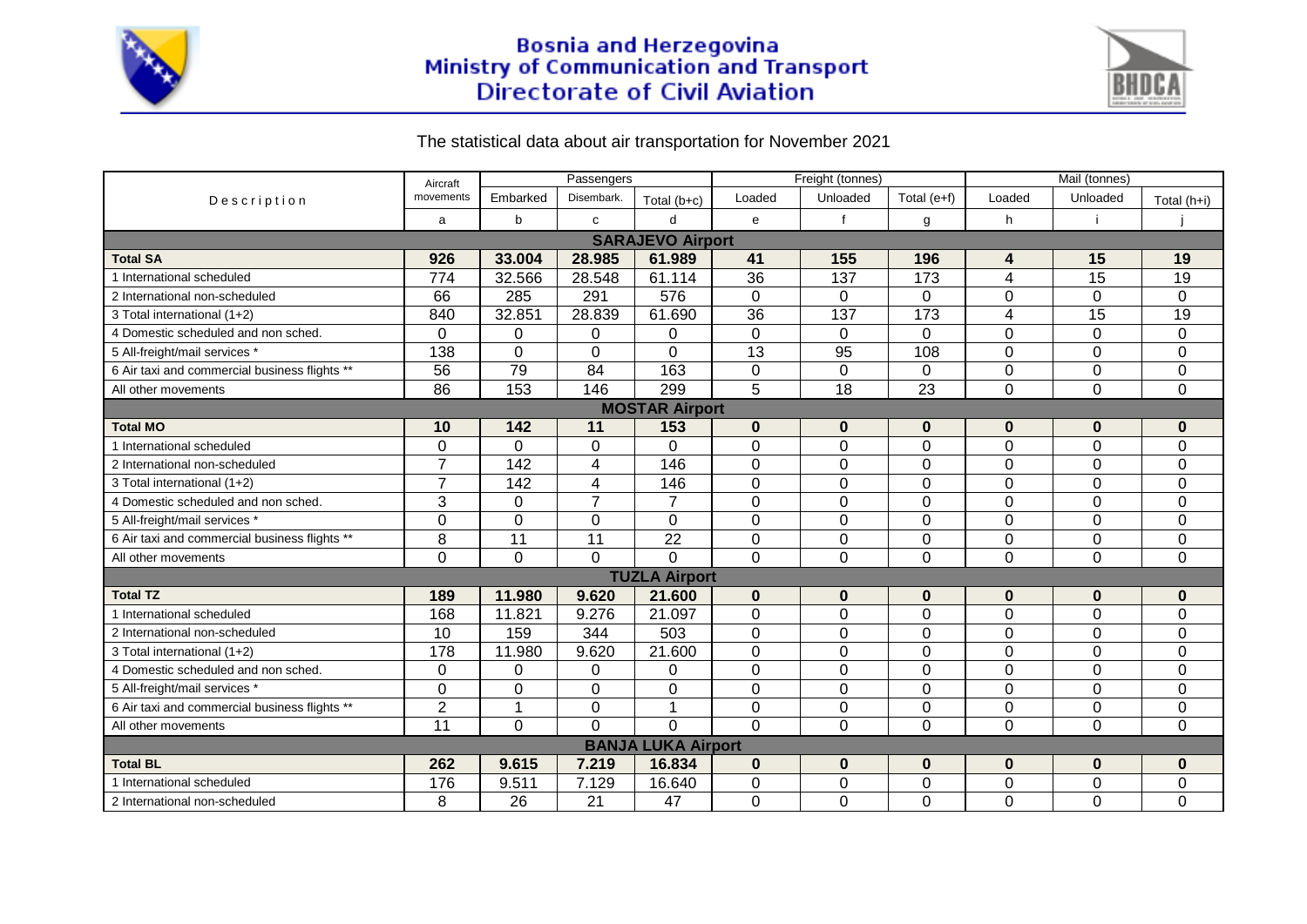

## Bosnia and Herzegovina<br>Ministry of Communication and Transport<br>Directorate of Civil Aviation



## The statistical data about air transportation for November 2021

| Description                                   | Aircraft             | Passengers      |                 |                 | Freight (tonnes) |                |                | Mail (tonnes)  |                 |                |  |  |
|-----------------------------------------------|----------------------|-----------------|-----------------|-----------------|------------------|----------------|----------------|----------------|-----------------|----------------|--|--|
|                                               | movements            | Embarked        | Disembark.      | Total $(b+c)$   | Loaded           | Unloaded       | Total $(e+f)$  | Loaded         | Unloaded        | Total (h+i)    |  |  |
|                                               | a                    | b               | $\mathbf{C}$    | $\mathsf{d}$    | $\mathbf{e}$     | $\mathbf f$    | g              | h              | j.              |                |  |  |
| <b>SARAJEVO Airport</b>                       |                      |                 |                 |                 |                  |                |                |                |                 |                |  |  |
| <b>Total SA</b>                               | 926                  | 33.004          | 28.985          | 61.989          | 41               | 155            | 196            | 4              | 15              | 19             |  |  |
| 1 International scheduled                     | 774                  | 32.566          | 28.548          | 61.114          | 36               | 137            | 173            | $\overline{4}$ | $\overline{15}$ | 19             |  |  |
| 2 International non-scheduled                 | 66                   | 285             | 291             | 576             | $\mathbf 0$      | $\mathbf 0$    | $\mathbf 0$    | $\Omega$       | $\mathbf 0$     | $\mathbf 0$    |  |  |
| 3 Total international (1+2)                   | 840                  | 32.851          | 28.839          | 61.690          | 36               | 137            | 173            | $\overline{4}$ | 15              | 19             |  |  |
| 4 Domestic scheduled and non sched.           | $\Omega$             | $\mathbf 0$     | 0               | $\mathbf 0$     | $\mathbf 0$      | $\overline{0}$ | $\overline{0}$ | $\overline{0}$ | $\mathbf 0$     | $\mathbf 0$    |  |  |
| 5 All-freight/mail services *                 | 138                  | $\mathbf 0$     | 0               | $\mathbf 0$     | 13               | 95             | 108            | $\mathbf 0$    | $\mathbf 0$     | $\pmb{0}$      |  |  |
| 6 Air taxi and commercial business flights ** | 56                   | 79              | 84              | 163             | 0                | $\Omega$       | 0              | 0              | $\Omega$        | $\mathbf 0$    |  |  |
| All other movements                           | 86                   | 153             | 146             | 299             | 5                | 18             | 23             | $\Omega$       | $\Omega$        | $\mathbf 0$    |  |  |
| <b>MOSTAR Airport</b>                         |                      |                 |                 |                 |                  |                |                |                |                 |                |  |  |
| <b>Total MO</b>                               | 10                   | 142             | 11              | 153             | $\bf{0}$         | $\bf{0}$       | $\bf{0}$       | $\bf{0}$       | $\bf{0}$        | $\mathbf 0$    |  |  |
| 1 International scheduled                     | $\overline{0}$       | $\Omega$        | 0               | $\mathbf 0$     | $\mathbf 0$      | 0              | $\mathbf 0$    | $\mathbf 0$    | $\mathbf 0$     | $\overline{0}$ |  |  |
| 2 International non-scheduled                 | $\overline{7}$       | 142             | 4               | 146             | $\mathbf 0$      | 0              | $\mathbf 0$    | $\mathbf 0$    | 0               | $\mathbf 0$    |  |  |
| 3 Total international (1+2)                   | $\overline{7}$       | 142             | 4               | 146             | $\mathbf 0$      | 0              | $\mathbf 0$    | $\mathbf 0$    | 0               | $\mathbf 0$    |  |  |
| 4 Domestic scheduled and non sched.           | 3                    | $\Omega$        | $\overline{7}$  | $\overline{7}$  | $\mathbf 0$      | 0              | $\mathbf 0$    | $\mathbf 0$    | $\mathbf 0$     | $\mathbf 0$    |  |  |
| 5 All-freight/mail services *                 | $\Omega$             | $\Omega$        | $\Omega$        | $\mathbf 0$     | $\Omega$         | $\mathbf 0$    | 0              | $\Omega$       | $\Omega$        | 0              |  |  |
| 6 Air taxi and commercial business flights ** | 8                    | $\overline{11}$ | $\overline{11}$ | $\overline{22}$ | $\mathbf 0$      | $\mathbf 0$    | $\mathbf 0$    | $\mathbf 0$    | $\mathbf 0$     | $\mathbf 0$    |  |  |
| All other movements                           | $\Omega$             | $\Omega$        | $\Omega$        | $\Omega$        | $\Omega$         | $\overline{0}$ | $\Omega$       | $\Omega$       | $\Omega$        | $\Omega$       |  |  |
|                                               | <b>TUZLA Airport</b> |                 |                 |                 |                  |                |                |                |                 |                |  |  |
| <b>Total TZ</b>                               | 189                  | 11.980          | 9.620           | 21.600          | $\bf{0}$         | $\bf{0}$       | $\bf{0}$       | $\bf{0}$       | $\bf{0}$        | $\bf{0}$       |  |  |
| 1 International scheduled                     | 168                  | 11.821          | 9.276           | 21.097          | $\mathbf 0$      | $\mathbf 0$    | $\mathbf 0$    | $\mathbf 0$    | $\overline{0}$  | $\mathbf 0$    |  |  |
| 2 International non-scheduled                 | 10                   | 159             | 344             | 503             | $\Omega$         | $\mathbf 0$    | $\Omega$       | 0              | 0               | $\mathbf 0$    |  |  |
| 3 Total international (1+2)                   | 178                  | 11.980          | 9.620           | 21.600          | $\Omega$         | 0              | 0              | 0              | $\mathbf 0$     | $\pmb{0}$      |  |  |
| 4 Domestic scheduled and non sched.           | $\Omega$             | 0               | 0               | 0               | $\Omega$         | 0              | $\mathbf 0$    | $\Omega$       | $\Omega$        | $\mathbf 0$    |  |  |
| 5 All-freight/mail services *                 | $\Omega$             | $\Omega$        | 0               | $\mathbf 0$     | $\overline{0}$   | 0              | $\overline{0}$ | $\mathbf 0$    | $\Omega$        | $\mathbf 0$    |  |  |
| 6 Air taxi and commercial business flights ** | $\overline{2}$       |                 | $\overline{0}$  | $\mathbf{1}$    | $\mathbf 0$      | 0              | $\mathbf 0$    | $\mathbf 0$    | $\mathbf 0$     | $\pmb{0}$      |  |  |
| All other movements                           | 11                   | 0               | $\Omega$        | $\Omega$        | $\Omega$         | 0              | $\overline{0}$ | $\mathbf 0$    | $\Omega$        | $\mathbf 0$    |  |  |
| <b>BANJA LUKA Airport</b>                     |                      |                 |                 |                 |                  |                |                |                |                 |                |  |  |
| <b>Total BL</b>                               | 262                  | 9.615           | 7.219           | 16.834          | $\bf{0}$         | $\bf{0}$       | $\bf{0}$       | $\bf{0}$       | $\bf{0}$        | $\bf{0}$       |  |  |
| 1 International scheduled                     | 176                  | 9.511           | 7.129           | 16.640          | $\Omega$         | $\mathbf 0$    | $\mathbf 0$    | $\Omega$       | $\Omega$        | $\pmb{0}$      |  |  |
| 2 International non-scheduled                 | 8                    | 26              | 21              | 47              | $\overline{0}$   | 0              | $\mathbf 0$    | $\overline{0}$ | 0               | $\overline{0}$ |  |  |